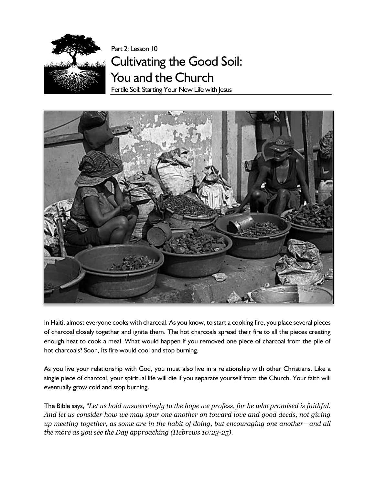

Part 2: Lesson 10 Cultivating the Good Soil: You and the Church Fertile Soil: Starting Your New Life with Jesus



In Haiti, almost everyone cooks with charcoal. As you know, to start a cooking fire, you place several pieces of charcoal closely together and ignite them. The hot charcoals spread their fire to all the pieces creating enough heat to cook a meal. What would happen if you removed one piece of charcoal from the pile of hot charcoals? Soon, its fire would cool and stop burning.

As you live your relationship with God, you must also live in a relationship with other Christians. Like a single piece of charcoal, your spiritual life will die if you separate yourself from the Church. Your faith will eventually grow cold and stop burning.

The Bible says, *"Let us hold unswervingly to the hope we profess, for he who promised is faithful. And let us consider how we may spur one another on toward love and good deeds, not giving up meeting together, as some are in the habit of doing, but encouraging one another—and all the more as you see the Day approaching (Hebrews 10:23-25).*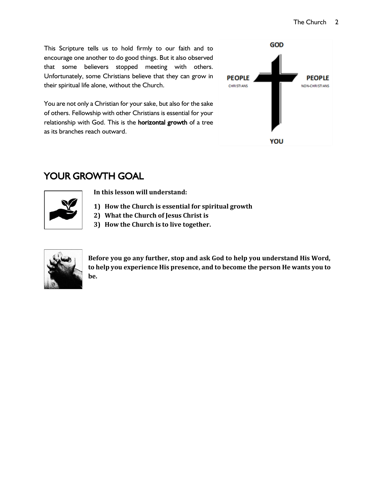This Scripture tells us to hold firmly to our faith and to encourage one another to do good things. But it also observed that some believers stopped meeting with others. Unfortunately, some Christians believe that they can grow in their spiritual life alone, without the Church.

You are not only a Christian for your sake, but also for the sake of others. Fellowship with other Christians is essential for your relationship with God. This is the **horizontal growth** of a tree as its branches reach outward.



# YOUR GROWTH GOAL



**In this lesson will understand:**

- **1) How the Church is essential for spiritual growth**
- **2) What the Church of Jesus Christ is**
- **3) How the Church is to live together.**



**Before you go any further, stop and ask God to help you understand His Word, to help you experience His presence, and to become the person He wants you to be.**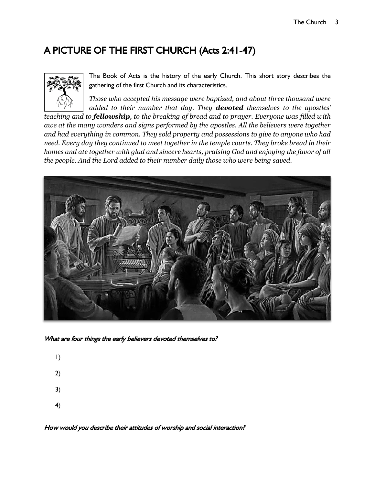## A PICTURE OF THE FIRST CHURCH (Acts 2:41-47)



The Book of Acts is the history of the early Church. This short story describes the gathering of the first Church and its characteristics.

*Those who accepted his message were baptized, and about three thousand were added to their number that day. They devoted themselves to the apostles'* 

*teaching and to fellowship, to the breaking of bread and to prayer. Everyone was filled with awe at the many wonders and signs performed by the apostles. All the believers were together and had everything in common. They sold property and possessions to give to anyone who had need. Every day they continued to meet together in the temple courts. They broke bread in their homes and ate together with glad and sincere hearts, praising God and enjoying the favor of all the people. And the Lord added to their number daily those who were being saved.*



What are four things the early believers devoted themselves to?

- 1)
- 
- 2)
- 3)
- 4)

How would you describe their attitudes of worship and social interaction?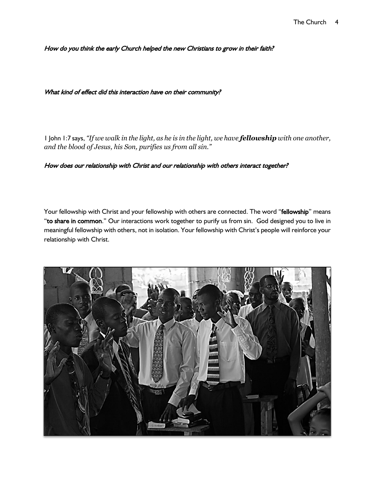How do you think the early Church helped the new Christians to grow in their faith?

#### What kind of effect did this interaction have on their community?

1 John 1:7 says, *"If we walk in the light, as he is in the light, we have fellowship with one another, and the blood of Jesus, his Son, purifies us from all sin."*

#### How does our relationship with Christ and our relationship with others interact together?

Your fellowship with Christ and your fellowship with others are connected. The word "fellowship" means "to share in common." Our interactions work together to purify us from sin. God designed you to live in meaningful fellowship with others, not in isolation. Your fellowship with Christ's people will reinforce your relationship with Christ.

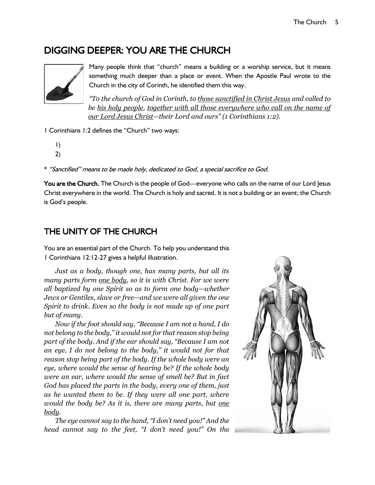## DIGGING DEEPER: YOU ARE THE CHURCH



Many people think that "church" means a building or a worship service, but it means something much deeper than a place or event. When the Apostle Paul wrote to the Church in the city of Corinth, he identified them this way.

*"To the church of God in Corinth, to those sanctified in Christ Jesus and called to*  be his holy people, together with all those everywhere who call on the name of *our Lord Jesus Christ—their Lord and ours" (1 Corinthians 1:2).*

1 Corinthians 1:2 defines the "Church" two ways:

- 1) 2)
- 

\* "Sanctified" means to be made holy, dedicated to God, a special sacrifice to God.

You are the Church. The Church is the people of God—everyone who calls on the name of our Lord Jesus Christ everywhere in the world. The Church is holy and sacred. It is not a building or an event; the Church is God's people.

### THE UNITY OF THE CHURCH

You are an essential part of the Church. To help you understand this 1 Corinthians 12:12-27 gives a helpful illustration.

*Just as a body, though one, has many parts, but all its many parts form one body, so it is with Christ. For we were all baptized by one Spirit so as to form one body—whether Jews or Gentiles, slave or free—and we were all given the one Spirit to drink. Even so the body is not made up of one part but of many.*

*Now if the foot should say, "Because I am not a hand, I do not belong to the body," it would not for that reason stop being part of the body. And if the ear should say, "Because I am not an eye, I do not belong to the body," it would not for that reason stop being part of the body. If the whole body were an eye, where would the sense of hearing be? If the whole body were an ear, where would the sense of smell be? But in fact God has placed the parts in the body, every one of them, just as he wanted them to be. If they were all one part, where would the body be? As it is, there are many parts, but one body.*

*The eye cannot say to the hand, "I don't need you!" And the head cannot say to the feet, "I don't need you!" On the* 

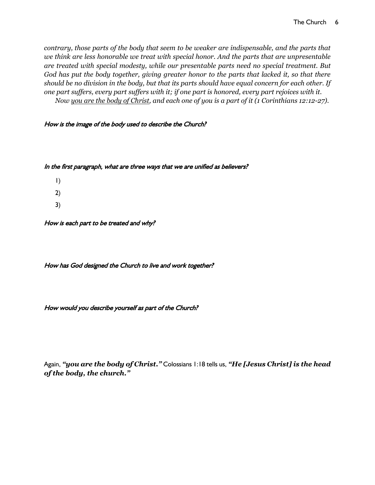*contrary, those parts of the body that seem to be weaker are indispensable, and the parts that we think are less honorable we treat with special honor. And the parts that are unpresentable are treated with special modesty, while our presentable parts need no special treatment. But God has put the body together, giving greater honor to the parts that lacked it, so that there should be no division in the body, but that its parts should have equal concern for each other. If one part suffers, every part suffers with it; if one part is honored, every part rejoices with it. Now you are the body of Christ, and each one of you is a part of it (1 Corinthians 12:12-27).*

#### How is the image of the body used to describe the Church?

#### In the first paragraph, what are three ways that we are unified as believers?

1) 2) 3)

How is each part to be treated and why?

How has God designed the Church to live and work together?

How would you describe yourself as part of the Church?

Again, *"you are the body of Christ."* Colossians 1:18 tells us, *"He [Jesus Christ] is the head of the body, the church."*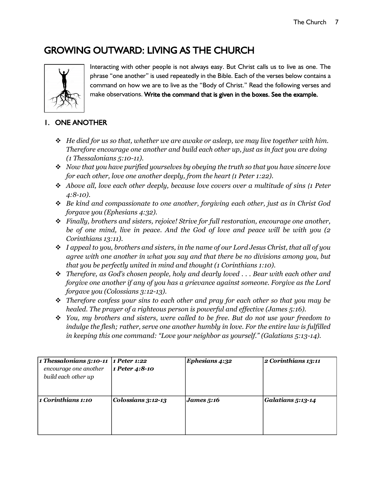## GROWING OUTWARD: LIVING AS THE CHURCH



Interacting with other people is not always easy. But Christ calls us to live as one. The phrase "one another" is used repeatedly in the Bible. Each of the verses below contains a command on how we are to live as the "Body of Christ." Read the following verses and make observations. Write the command that is given in the boxes. See the example.

### 1. ONE ANOTHER

- ❖ *He died for us so that, whether we are awake or asleep, we may live together with him. Therefore encourage one another and build each other up, just as in fact you are doing (1 Thessalonians 5:10-11).*
- ❖ *Now that you have purified yourselves by obeying the truth so that you have sincere love for each other, love one another deeply, from the heart (1 Peter 1:22).*
- ❖ *Above all, love each other deeply, because love covers over a multitude of sins (1 Peter 4:8-10).*
- ❖ *Be kind and compassionate to one another, forgiving each other, just as in Christ God forgave you (Ephesians 4:32).*
- ❖ *Finally, brothers and sisters, rejoice! Strive for full restoration, encourage one another, be of one mind, live in peace. And the God of love and peace will be with you (2 Corinthians 13:11).*
- ❖ *I appeal to you, brothers and sisters, in the name of our Lord Jesus Christ, that all of you agree with one another in what you say and that there be no divisions among you, but that you be perfectly united in mind and thought (1 Corinthians 1:10).*
- ❖ *Therefore, as God's chosen people, holy and dearly loved . . . Bear with each other and forgive one another if any of you has a grievance against someone. Forgive as the Lord forgave you (Colossians 3:12-13).*
- ❖ *Therefore confess your sins to each other and pray for each other so that you may be healed. The prayer of a righteous person is powerful and effective (James 5:16).*
- ❖ *You, my brothers and sisters, were called to be free. But do not use your freedom to indulge the flesh; rather, serve one another humbly in love. For the entire law is fulfilled in keeping this one command: "Love your neighbor as yourself." (Galatians 5:13-14).*

| 1 Thessalonians 5:10-11 | 1 Peter 1:22       | Ephesians 4:32 | 2 Corinthians 13:11 |
|-------------------------|--------------------|----------------|---------------------|
| encourage one another   | 1 Peter 4:8-10     |                |                     |
| build each other up     |                    |                |                     |
|                         |                    |                |                     |
|                         |                    |                |                     |
| 1 Corinthians 1:10      | Colossians 3:12-13 | James $5:16$   | Galatians 5:13-14   |
|                         |                    |                |                     |
|                         |                    |                |                     |
|                         |                    |                |                     |
|                         |                    |                |                     |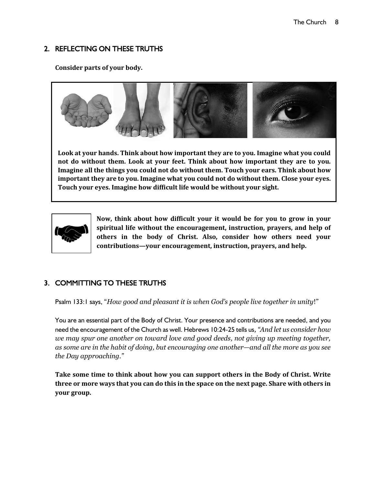### 2. REFLECTING ON THESE TRUTHS

**Consider parts of your body.** 



**Look at your hands. Think about how important they are to you. Imagine what you could not do without them. Look at your feet. Think about how important they are to you. Imagine all the things you could not do without them. Touch your ears. Think about how important they are to you. Imagine what you could not do without them. Close your eyes. Touch your eyes. Imagine how difficult life would be without your sight.**



**Now, think about how difficult your it would be for you to grow in your spiritual life without the encouragement, instruction, prayers, and help of others in the body of Christ. Also, consider how others need your contributions—your encouragement, instruction, prayers, and help.**

## 3. COMMITTING TO THESE TRUTHS

Psalm 133:1 says, "*How good and pleasant it is when God's people live together in unity*!"

You are an essential part of the Body of Christ. Your presence and contributions are needed, and you need the encouragement of the Church as well. Hebrews 10:24-25 tells us*, "And let us consider how we may spur one another on toward love and good deeds, not giving up meeting together, as some are in the habit of doing, but encouraging one another—and all the more as you see the Day approaching."*

**Take some time to think about how you can support others in the Body of Christ. Write three or more ways that you can do this in the space on the next page. Share with others in your group.**